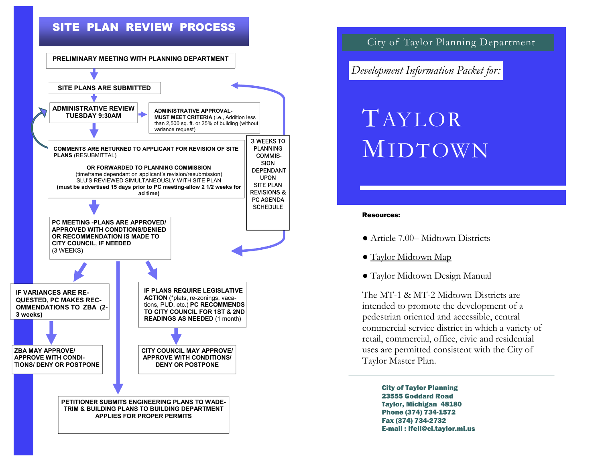



City of Taylor Planning Department

*Development Information Packet for:* 

# TAYLORMIDTOWN

### Resources:

- Article 7.00– Midtown Districts
- Taylor Midtown Map
- Taylor Midtown Design Manual

The MT-1 & MT-2 Midtown Districts are intended to promote the development of a pedestrian oriented and accessible, central commercial service district in which a variety of retail, commercial, office, civic and residential uses are permitted consistent with the City of Taylor Master Plan.

> City of Taylor Planning 23555 Goddard Road Taylor, Michigan 48180 Phone (374) 734-1572 Fax (374) 734-2732 E-mail : lfell@ci.taylor.mi.us